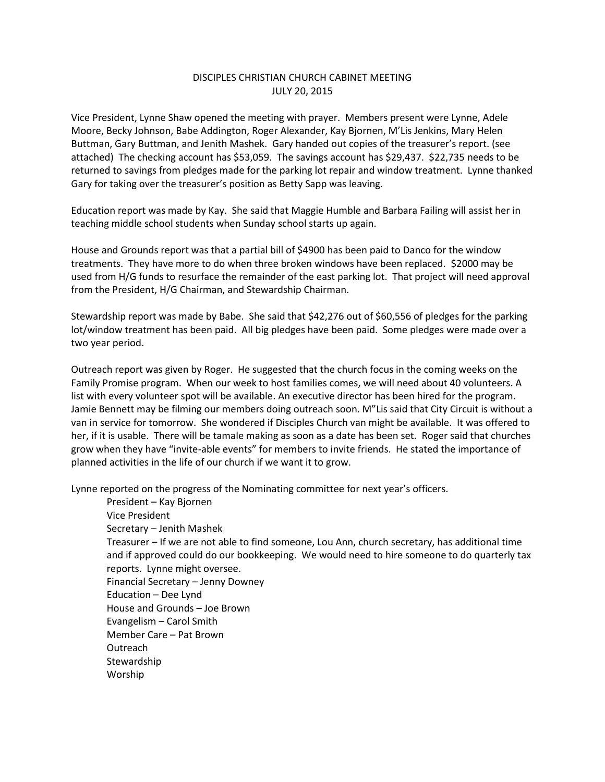## DISCIPLES CHRISTIAN CHURCH CABINET MEETING JULY 20, 2015

Vice President, Lynne Shaw opened the meeting with prayer. Members present were Lynne, Adele Moore, Becky Johnson, Babe Addington, Roger Alexander, Kay Bjornen, M'Lis Jenkins, Mary Helen Buttman, Gary Buttman, and Jenith Mashek. Gary handed out copies of the treasurer's report. (see attached) The checking account has \$53,059. The savings account has \$29,437. \$22,735 needs to be returned to savings from pledges made for the parking lot repair and window treatment. Lynne thanked Gary for taking over the treasurer's position as Betty Sapp was leaving.

Education report was made by Kay. She said that Maggie Humble and Barbara Failing will assist her in teaching middle school students when Sunday school starts up again.

House and Grounds report was that a partial bill of \$4900 has been paid to Danco for the window treatments. They have more to do when three broken windows have been replaced. \$2000 may be used from H/G funds to resurface the remainder of the east parking lot. That project will need approval from the President, H/G Chairman, and Stewardship Chairman.

Stewardship report was made by Babe. She said that \$42,276 out of \$60,556 of pledges for the parking lot/window treatment has been paid. All big pledges have been paid. Some pledges were made over a two year period.

Outreach report was given by Roger. He suggested that the church focus in the coming weeks on the Family Promise program. When our week to host families comes, we will need about 40 volunteers. A list with every volunteer spot will be available. An executive director has been hired for the program. Jamie Bennett may be filming our members doing outreach soon. M"Lis said that City Circuit is without a van in service for tomorrow. She wondered if Disciples Church van might be available. It was offered to her, if it is usable. There will be tamale making as soon as a date has been set. Roger said that churches grow when they have "invite-able events" for members to invite friends. He stated the importance of planned activities in the life of our church if we want it to grow.

Lynne reported on the progress of the Nominating committee for next year's officers.

President – Kay Bjornen Vice President Secretary – Jenith Mashek Treasurer – If we are not able to find someone, Lou Ann, church secretary, has additional time and if approved could do our bookkeeping. We would need to hire someone to do quarterly tax reports. Lynne might oversee. Financial Secretary – Jenny Downey Education – Dee Lynd House and Grounds – Joe Brown Evangelism – Carol Smith Member Care – Pat Brown Outreach **Stewardship** Worship